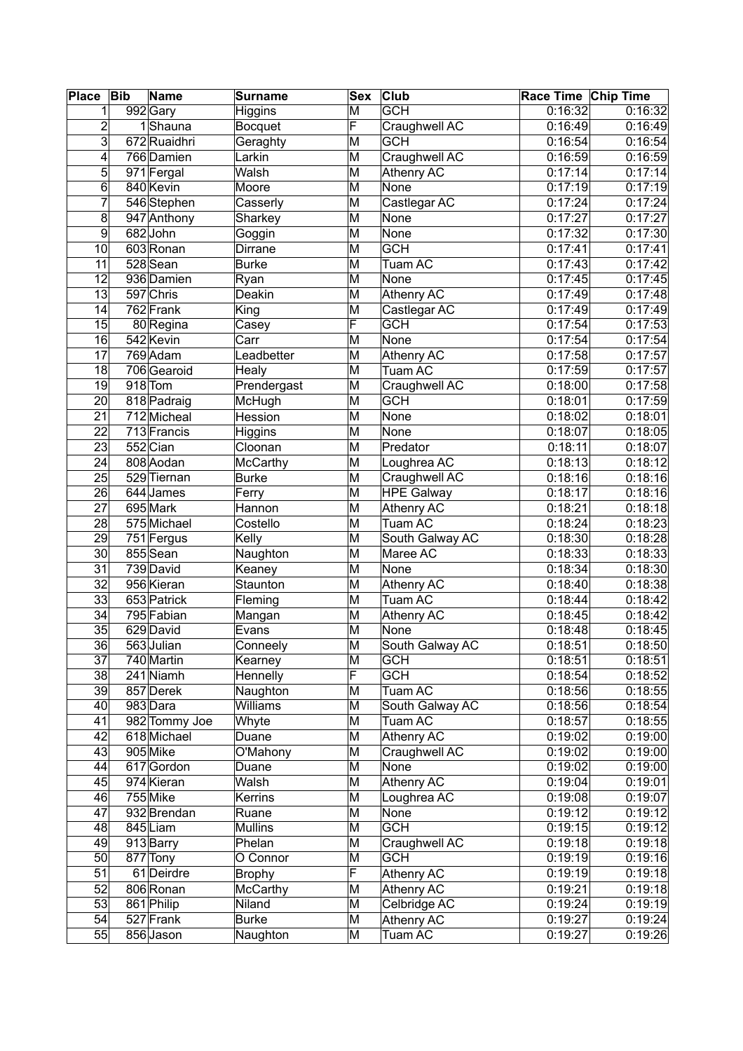| <b>Place</b>    | <b>Bib</b> | Name                   | <b>Surname</b>  | Sex                     | <b>Club</b>               | Race Time Chip Time |         |
|-----------------|------------|------------------------|-----------------|-------------------------|---------------------------|---------------------|---------|
| 1               |            | 992 Gary               | <b>Higgins</b>  | M                       | <b>GCH</b>                | 0:16:32             | 0:16:32 |
| $\overline{c}$  |            | 1Shauna                | <b>Bocquet</b>  | F                       | Craughwell AC             | 0:16:49             | 0:16:49 |
| $\overline{3}$  |            | 672 Ruaidhri           | Geraghty        | M                       | <b>GCH</b>                | 0:16:54             | 0:16:54 |
| 4               |            | 766 Damien             | Larkin          | M                       | Craughwell AC             | 0:16:59             | 0:16:59 |
| 5               |            | 971 Fergal             | Walsh           | M                       | Athenry AC                | 0:17:14             | 0:17:14 |
| $\overline{6}$  |            | 840 Kevin              | Moore           | $\overline{\mathsf{M}}$ | None                      | 0:17:19             | 0:17:19 |
| $\overline{7}$  |            | 546 Stephen            | Casserly        | M                       | Castlegar AC              | 0:17:24             | 0:17:24 |
| 8               |            | 947 Anthony            | Sharkey         | M                       | None                      | 0:17:27             | 0:17:27 |
| 9               |            | 682John                | Goggin          | M                       | None                      | 0:17:32             | 0:17:30 |
| 10              |            | 603 Ronan              | Dirrane         | M                       | <b>GCH</b>                | 0:17:41             | 0:17:41 |
| 11              |            | 528 Sean               | <b>Burke</b>    | M                       | Tuam AC                   | 0:17:43             | 0:17:42 |
| $\overline{12}$ |            | 936 Damien             | Ryan            | $\overline{\mathsf{M}}$ | None                      | 0:17:45             | 0:17:45 |
| 13              |            | 597 Chris              | Deakin          | M                       | <b>Athenry AC</b>         | 0:17:49             | 0:17:48 |
| 14              |            | 762 Frank              |                 | M                       |                           | 0:17:49             | 0:17:49 |
| 15              |            |                        | King            | F                       | Castlegar AC              |                     |         |
|                 |            | 80 Regina              | Casey           |                         | <b>GCH</b><br><b>None</b> | 0:17:54<br>0:17:54  | 0:17:53 |
| 16              |            | 542 Kevin              | Carr            | M                       |                           |                     | 0:17:54 |
| 17              |            | 769 Adam               | Leadbetter      | M                       | <b>Athenry AC</b>         | 0:17:58             | 0:17:57 |
| 18              |            | 706 Gearoid            | Healy           | M                       | Tuam AC                   | 0:17:59             | 0:17:57 |
| 19              |            | $918$ Tom              | Prendergast     | M                       | Craughwell AC             | 0:18:00             | 0:17:58 |
| 20              |            | 818 Padraig            | McHugh          | M                       | <b>GCH</b>                | 0:18:01             | 0:17:59 |
| 21              |            | 712 Micheal            | Hession         | M                       | None                      | 0:18:02             | 0:18:01 |
| $\overline{22}$ |            | 713 Francis            | Higgins         | $\overline{\mathsf{M}}$ | None                      | 0:18:07             | 0:18:05 |
| 23              |            | $552$ Cian             | Cloonan         | M                       | Predator                  | 0:18:11             | 0:18:07 |
| 24              |            | 808 Aodan              | McCarthy        | M                       | Loughrea AC               | 0:18:13             | 0:18:12 |
| 25              |            | 529 Tiernan            | <b>Burke</b>    | M                       | Craughwell AC             | 0:18:16             | 0:18:16 |
| 26              |            | 644 James              | Ferry           | $\overline{\mathsf{M}}$ | <b>HPE Galway</b>         | 0:18:17             | 0:18:16 |
| 27              |            | 695 Mark               | Hannon          | M                       | <b>Athenry AC</b>         | 0:18:21             | 0:18:18 |
| 28              |            | 575 Michael            | Costello        | M                       | Tuam AC                   | 0:18:24             | 0:18:23 |
| 29              |            | 751 Fergus             | Kelly           | M                       | South Galway AC           | 0:18:30             | 0:18:28 |
| 30              |            | 855 Sean               | Naughton        | M                       | Maree AC                  | 0:18:33             | 0:18:33 |
| 31              |            | $\overline{739}$ David | Keaney          | M                       | None                      | 0:18:34             | 0:18:30 |
| 32              |            | 956 Kieran             | Staunton        | M                       | <b>Athenry AC</b>         | 0:18:40             | 0:18:38 |
| 33              |            | 653 Patrick            | Fleming         | $\overline{\mathsf{M}}$ | Tuam AC                   | 0:18:44             | 0:18:42 |
| 34              |            | 795 Fabian             | Mangan          | M                       | <b>Athenry AC</b>         | 0:18:45             | 0:18:42 |
| 35              |            | 629 David              | Evans           | M                       | None                      | 0:18:48             | 0:18:45 |
| $\overline{36}$ |            | 563 Julian             | Conneely        | M                       | South Galway AC           | 0:18:51             | 0:18:50 |
| $\overline{37}$ |            | 740 Martin             | Kearney         | $\overline{\mathsf{M}}$ | <b>GCH</b>                | 0:18:51             | 0:18:51 |
| 38              |            | 241 Niamh              | Hennelly        | F                       | <b>GCH</b>                | 0:18:54             | 0:18:52 |
| 39              |            | 857 Derek              | Naughton        | M                       | Tuam AC                   | 0:18:56             | 0:18:55 |
| 40              |            | 983 Dara               | Williams        | M                       | South Galway AC           | 0:18:56             | 0:18:54 |
| 41              |            | 982 Tommy Joe          | Whyte           | M                       | Tuam AC                   | 0:18:57             | 0:18:55 |
| 42              |            | 618 Michael            | Duane           | M                       | Athenry AC                | 0:19:02             | 0:19:00 |
| 43              |            | 905 Mike               | O'Mahony        | M                       | Craughwell AC             | 0:19:02             | 0:19:00 |
| 44              |            | 617 Gordon             |                 | M                       | None                      | 0:19:02             | 0:19:00 |
|                 |            |                        | Duane           |                         | <b>Athenry AC</b>         |                     |         |
| 45              |            | 974 Kieran             | Walsh           | M                       |                           | 0:19:04             | 0:19:01 |
| 46              |            | 755 Mike               | Kerrins         | M                       | Loughrea AC               | 0:19:08             | 0:19:07 |
| 47              |            | 932 Brendan            | Ruane           | M                       | None                      | 0:19:12             | 0:19:12 |
| 48              |            | 845 Liam               | <b>Mullins</b>  | M                       | <b>GCH</b>                | 0:19:15             | 0:19:12 |
| 49              |            | 913 Barry              | Phelan          | M                       | Craughwell AC             | 0:19:18             | 0:19:18 |
| 50              |            | 877 Tony               | O Connor        | $\overline{\mathsf{M}}$ | <b>GCH</b>                | 0:19:19             | 0:19:16 |
| 51              |            | 61 Deirdre             | <b>Brophy</b>   | $\overline{\mathsf{F}}$ | <b>Athenry AC</b>         | 0:19:19             | 0:19:18 |
| 52              |            | 806 Ronan              | <b>McCarthy</b> | M                       | <b>Athenry AC</b>         | 0:19:21             | 0:19:18 |
| 53              |            | 861 Philip             | Niland          | M                       | Celbridge AC              | 0:19:24             | 0:19:19 |
| 54              |            | 527 Frank              | <b>Burke</b>    | M                       | <b>Athenry AC</b>         | 0:19:27             | 0:19:24 |
| 55              |            | 856 Jason              | Naughton        | M                       | Tuam AC                   | 0:19:27             | 0:19:26 |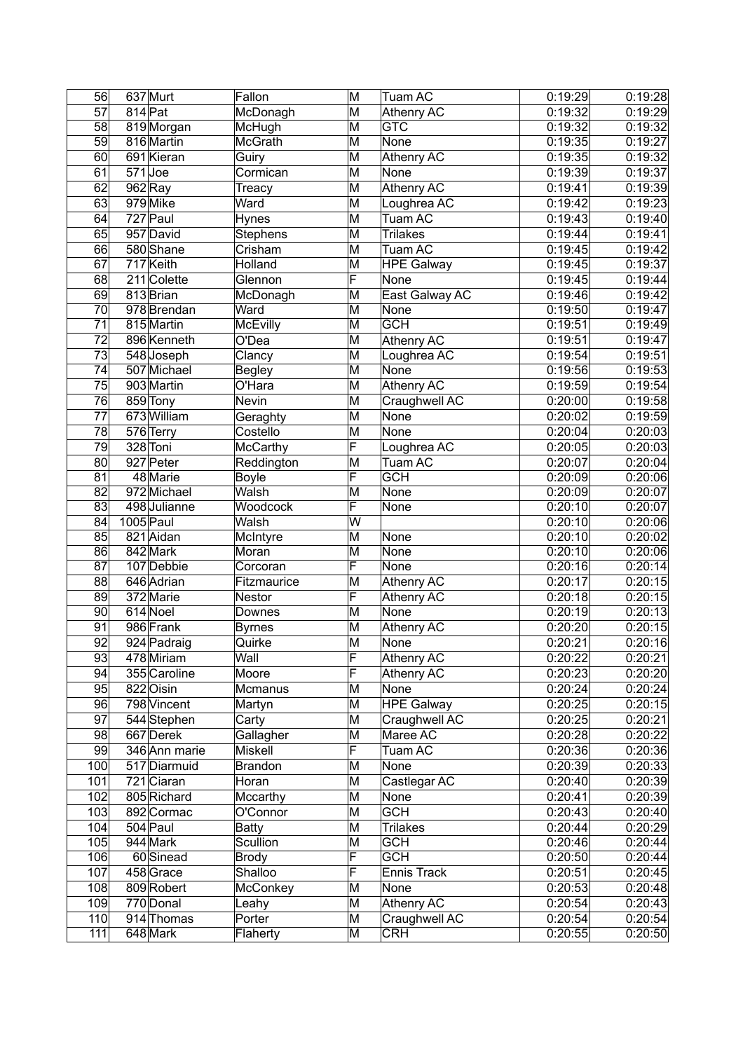| 56               |           | 637 Murt             | Fallon          | M                       | Tuam AC           | 0:19:29 | 0:19:28 |
|------------------|-----------|----------------------|-----------------|-------------------------|-------------------|---------|---------|
| 57               | 814 Pat   |                      | McDonagh        | M                       | <b>Athenry AC</b> | 0:19:32 | 0:19:29 |
| 58               |           | 819 Morgan           | McHugh          | M                       | <b>GTC</b>        | 0:19:32 | 0:19:32 |
| 59               |           | 816 Martin           | <b>McGrath</b>  | $\overline{\mathsf{M}}$ | None              | 0:19:35 | 0:19:27 |
| 60               |           | 691 Kieran           | Guiry           | M                       | <b>Athenry AC</b> | 0:19:35 | 0:19:32 |
| 61               |           | 571Joe               | Cormican        | M                       | None              | 0:19:39 | 0:19:37 |
| 62               |           | $962$ <sub>Ray</sub> | Treacy          | M                       | <b>Athenry AC</b> | 0:19:41 | 0:19:39 |
| 63               |           | 979 Mike             | Ward            | M                       | Loughrea AC       | 0:19:42 | 0:19:23 |
| 64               |           | 727 Paul             | Hynes           | M                       | Tuam AC           | 0:19:43 | 0:19:40 |
| 65               |           | 957 David            | <b>Stephens</b> | M                       | <b>Trilakes</b>   | 0:19:44 | 0:19:41 |
| 66               |           | 580 Shane            | Crisham         | M                       | Tuam AC           | 0:19:45 | 0:19:42 |
| 67               |           | 717 Keith            | Holland         | M                       | <b>HPE Galway</b> | 0:19:45 | 0:19:37 |
| 68               |           | 211 Colette          | Glennon         | $\overline{\mathsf{F}}$ | None              | 0:19:45 | 0:19:44 |
| 69               |           | 813 Brian            | McDonagh        | M                       | East Galway AC    | 0:19:46 | 0:19:42 |
| 70               |           | 978 Brendan          | Ward            | M                       | None              | 0:19:50 | 0:19:47 |
| 71               |           | 815 Martin           | <b>McEvilly</b> | M                       | <b>GCH</b>        | 0:19:51 | 0:19:49 |
| 72               |           | 896 Kenneth          | O'Dea           | M                       | Athenry AC        | 0:19:51 | 0:19:47 |
| 73               |           | 548 Joseph           | Clancy          | M                       | Loughrea AC       | 0:19:54 | 0:19:51 |
| $\overline{74}$  |           | 507 Michael          | <b>Begley</b>   | M                       | None              | 0:19:56 | 0:19:53 |
| 75               |           | 903 Martin           | O'Hara          | M                       | <b>Athenry AC</b> | 0:19:59 | 0:19:54 |
| 76               |           | 859 Tony             | Nevin           | M                       | Craughwell AC     | 0:20:00 | 0:19:58 |
| 77               |           | 673 William          | Geraghty        | M                       | None              | 0:20:02 | 0:19:59 |
| $\overline{78}$  |           | 576 Terry            | Costello        | M                       | None              | 0:20:04 | 0:20:03 |
| 79               |           | 328 Toni             | <b>McCarthy</b> | F                       | Loughrea AC       | 0:20:05 | 0:20:03 |
| 80               |           | 927 Peter            | Reddington      | M                       | Tuam AC           | 0:20:07 | 0:20:04 |
| 81               |           | 48 Marie             | <b>Boyle</b>    | F                       | <b>GCH</b>        | 0:20:09 | 0:20:06 |
| 82               |           | 972 Michael          | Walsh           | M                       | None              | 0:20:09 | 0:20:07 |
| 83               |           | 498 Julianne         | Woodcock        | $\overline{\mathsf{F}}$ | None              | 0:20:10 | 0:20:07 |
| 84               | 1005 Paul |                      | Walsh           | W                       |                   | 0:20:10 | 0:20:06 |
| 85               |           | 821 Aidan            | McIntyre        | M                       | None              | 0:20:10 | 0:20:02 |
| 86               |           | 842 Mark             | Moran           | M                       | None              | 0:20:10 | 0:20:06 |
| $\overline{87}$  |           | 107 Debbie           | Corcoran        | F                       | None              | 0:20:16 | 0:20:14 |
| 88               |           | 646 Adrian           | Fitzmaurice     | M                       | <b>Athenry AC</b> | 0:20:17 | 0:20:15 |
| 89               |           | 372 Marie            | Nestor          | $\overline{\mathsf{F}}$ | <b>Athenry AC</b> | 0:20:18 | 0:20:15 |
| 90               |           | 614 Noel             | Downes          | M                       | None              | 0:20:19 | 0:20:13 |
| 91               |           | 986 Frank            | <b>Byrnes</b>   | M                       | Athenry AC        | 0:20:20 | 0:20:15 |
| 92               |           | 924 Padraig          | Quirke          | $\overline{\mathsf{M}}$ | None              | 0:20:21 | 0:20:16 |
| 93               |           | 478 Miriam           | Wall            | F                       | <b>Athenry AC</b> | 0:20:22 | 0:20:21 |
| 94               |           | 355 Caroline         | Moore           | F                       | <b>Athenry AC</b> | 0:20:23 | 0:20:20 |
| 95               |           | 822 Oisin            | Mcmanus         | M                       | None              | 0:20:24 | 0:20:24 |
| 96               |           | 798 Vincent          | Martyn          | M                       | <b>HPE Galway</b> | 0:20:25 | 0:20:15 |
| 97               |           | 544 Stephen          | Carty           | M                       | Craughwell AC     | 0:20:25 | 0:20:21 |
| 98               |           | 667 Derek            | Gallagher       | M                       | Maree AC          | 0:20:28 | 0:20:22 |
| 99               |           | 346 Ann marie        | <b>Miskell</b>  | F                       | Tuam AC           | 0:20:36 | 0:20:36 |
| 100              |           | 517 Diarmuid         | <b>Brandon</b>  | M                       | None              | 0:20:39 | 0:20:33 |
| 101              |           | 721 Ciaran           | Horan           | M                       | Castlegar AC      | 0:20:40 | 0:20:39 |
| 102              |           | 805 Richard          | Mccarthy        | M                       | None              | 0:20:41 | 0:20:39 |
| 103              |           | 892 Cormac           | O'Connor        | M                       | <b>GCH</b>        | 0:20:43 | 0:20:40 |
| 104              |           | 504 Paul             | <b>Batty</b>    | M                       | <b>Trilakes</b>   | 0:20:44 | 0:20:29 |
| 105              |           | 944 Mark             | Scullion        | M                       | <b>GCH</b>        | 0:20:46 | 0:20:44 |
| 106              |           | 60 Sinead            | <b>Brody</b>    | F                       | <b>GCH</b>        | 0:20:50 | 0:20:44 |
| 107              |           | 458 Grace            | Shalloo         | F                       | Ennis Track       | 0:20:51 | 0:20:45 |
| 108              |           | 809 Robert           | McConkey        | M                       | None              | 0:20:53 | 0:20:48 |
| 109              |           | 770 Donal            | Leahy           | M                       | Athenry AC        | 0:20:54 | 0:20:43 |
| 110              |           | 914 Thomas           | Porter          | M                       | Craughwell AC     | 0:20:54 | 0:20:54 |
| $\overline{111}$ |           | 648 Mark             | Flaherty        | $\overline{\mathsf{M}}$ | <b>CRH</b>        | 0:20:55 | 0:20:50 |
|                  |           |                      |                 |                         |                   |         |         |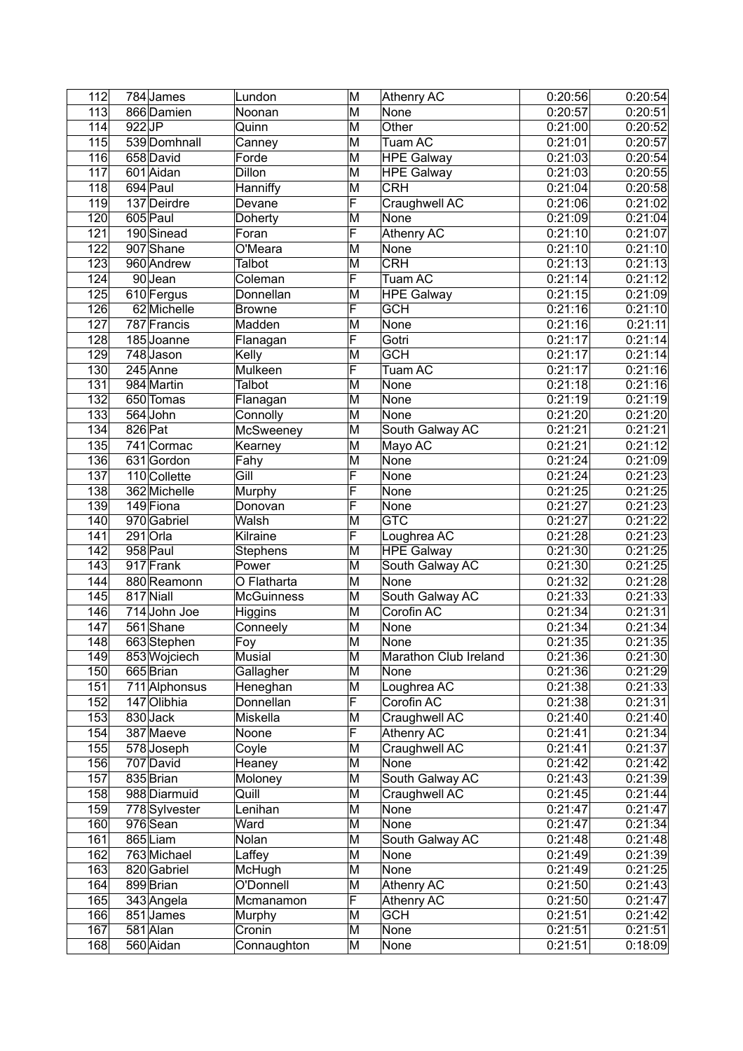| 112              |         | 784 James     | Lundon                     | M                       | Athenry AC            | 0:20:56 | 0:20:54 |
|------------------|---------|---------------|----------------------------|-------------------------|-----------------------|---------|---------|
| 113              |         | 866 Damien    | Noonan                     | M                       | None                  | 0:20:57 | 0:20:51 |
| 114              | 922JP   |               | Quinn                      | M                       | Other                 | 0:21:00 | 0:20:52 |
| 115              |         | 539 Domhnall  | Canney                     | M                       | Tuam AC               | 0:21:01 | 0:20:57 |
| 116              |         | 658 David     | Forde                      | M                       | <b>HPE Galway</b>     | 0:21:03 | 0:20:54 |
| $\overline{117}$ |         | 601 Aidan     | <b>Dillon</b>              | M                       | <b>HPE Galway</b>     | 0:21:03 | 0:20:55 |
| 118              |         | 694 Paul      | Hanniffy                   | M                       | <b>CRH</b>            | 0:21:04 | 0:20:58 |
| 119              |         | 137 Deirdre   | Devane                     | $\overline{\mathsf{F}}$ | Craughwell AC         | 0:21:06 | 0:21:02 |
| 120              |         | 605 Paul      | Doherty                    | M                       | None                  | 0:21:09 | 0:21:04 |
| 121              |         | 190 Sinead    | Foran                      | $\overline{\mathsf{F}}$ | <b>Athenry AC</b>     | 0:21:10 | 0:21:07 |
| 122              |         | 907 Shane     | O'Meara                    | M                       | None                  | 0:21:10 | 0:21:10 |
| $\overline{123}$ |         | 960 Andrew    | Talbot                     | M                       | <b>CRH</b>            | 0:21:13 | 0:21:13 |
| 124              |         | 90Jean        | Coleman                    | F                       | Tuam AC               | 0:21:14 | 0:21:12 |
| 125              |         | 610 Fergus    | Donnellan                  | M                       | <b>HPE Galway</b>     | 0:21:15 | 0:21:09 |
| 126              |         | 62 Michelle   | <b>Browne</b>              | F                       | <b>GCH</b>            | 0:21:16 | 0:21:10 |
| 127              |         | 787 Francis   | Madden                     | M                       | None                  | 0:21:16 | 0:21:11 |
| 128              |         | 185 Joanne    | Flanagan                   | F                       | Gotri                 | 0:21:17 | 0:21:14 |
| 129              |         | 748 Jason     | Kelly                      | M                       | <b>GCH</b>            | 0:21:17 | 0:21:14 |
| 130              |         | 245 Anne      | Mulkeen                    | F                       | Tuam AC               | 0:21:17 | 0:21:16 |
| 131              |         | 984 Martin    | Talbot                     | M                       | None                  | 0:21:18 | 0:21:16 |
| 132              |         | 650 Tomas     | Flanagan                   | M                       | None                  | 0:21:19 | 0:21:19 |
| 133              |         | 564 John      | Connolly                   | M                       | None                  | 0:21:20 | 0:21:20 |
| 134              | 826 Pat |               | McSweeney                  | M                       | South Galway AC       | 0:21:21 | 0:21:21 |
| 135              |         | 741 Cormac    | Kearney                    | M                       | Mayo AC               | 0:21:21 | 0:21:12 |
| 136              |         | 631 Gordon    | Fahy                       | M                       | None                  | 0:21:24 | 0:21:09 |
| 137              |         | 110 Collette  | Gill                       | F                       | None                  | 0:21:24 | 0:21:23 |
| 138              |         | 362 Michelle  | Murphy                     | F                       | None                  | 0:21:25 | 0:21:25 |
| 139              |         | 149 Fiona     | Donovan                    | F                       | None                  | 0:21:27 | 0:21:23 |
| 140              |         | 970 Gabriel   | Walsh                      | M                       | <b>GTC</b>            | 0:21:27 | 0:21:22 |
| 141              |         | $291$ Orla    | Kilraine                   | F                       | Loughrea AC           | 0:21:28 | 0:21:23 |
| 142              |         | 958 Paul      | Stephens                   | M                       | <b>HPE Galway</b>     | 0:21:30 | 0:21:25 |
| $\overline{143}$ |         | 917 Frank     | Power                      | M                       | South Galway AC       | 0:21:30 | 0:21:25 |
| 144              |         | 880 Reamonn   | O Flatharta                | M                       | None                  | 0:21:32 | 0:21:28 |
| 145              |         | 817 Niall     | <b>McGuinness</b>          | M                       | South Galway AC       | 0:21:33 | 0:21:33 |
| 146              |         | 714 John Joe  | Higgins                    | M                       | Corofin AC            | 0:21:34 | 0:21:31 |
| 147              |         | 561 Shane     | Conneely                   | M                       | None                  | 0:21:34 | 0:21:34 |
| $\overline{148}$ |         | 663 Stephen   | $\overline{\mathsf{F}}$ oy | M                       | None                  | 0:21:35 | 0:21:35 |
| 149              |         | 853 Wojciech  | Musial                     | M                       | Marathon Club Ireland | 0:21:36 | 0:21:30 |
| 150              |         | 665 Brian     | Gallagher                  | M                       | None                  | 0:21:36 | 0:21:29 |
| 151              |         | 711 Alphonsus | Heneghan                   | M                       | Loughrea AC           | 0:21:38 | 0:21:33 |
| 152              |         | 147 Olibhia   | Donnellan                  | F                       | Corofin AC            | 0:21:38 | 0:21:31 |
| 153              |         | 830 Jack      | Miskella                   | M                       | Craughwell AC         | 0:21:40 | 0:21:40 |
| 154              |         | 387 Maeve     | Noone                      | F                       | <b>Athenry AC</b>     | 0:21:41 | 0:21:34 |
| 155              |         | 578 Joseph    | Coyle                      | M                       | Craughwell AC         | 0:21:41 | 0:21:37 |
| 156              |         | 707 David     | Heaney                     | M                       | None                  | 0:21:42 | 0:21:42 |
| 157              |         | 835 Brian     | Moloney                    | M                       | South Galway AC       | 0:21:43 | 0:21:39 |
| 158              |         | 988 Diarmuid  | Quill                      | M                       | Craughwell AC         | 0:21:45 | 0:21:44 |
| 159              |         | 778 Sylvester | Lenihan                    | M                       | None                  | 0:21:47 | 0:21:47 |
| 160              |         | 976 Sean      | Ward                       | M                       | None                  | 0:21:47 | 0:21:34 |
| 161              |         | 865 Liam      | Nolan                      | M                       | South Galway AC       | 0:21:48 | 0:21:48 |
| 162              |         | 763 Michael   | Laffey                     | M                       | None                  | 0:21:49 | 0:21:39 |
| 163              |         | 820 Gabriel   | McHugh                     | M                       | None                  | 0:21:49 | 0:21:25 |
| 164              |         | 899 Brian     | O'Donnell                  | M                       | Athenry AC            | 0:21:50 | 0:21:43 |
| 165              |         | 343 Angela    | Mcmanamon                  | F                       | <b>Athenry AC</b>     | 0:21:50 | 0:21:47 |
| 166              |         | 851 James     | Murphy                     | M                       | <b>GCH</b>            | 0:21:51 | 0:21:42 |
| 167              |         | 581 Alan      | Cronin                     | M                       | None                  | 0:21:51 | 0:21:51 |
| 168              |         | 560 Aidan     | Connaughton                | M                       | None                  | 0:21:51 | 0:18:09 |
|                  |         |               |                            |                         |                       |         |         |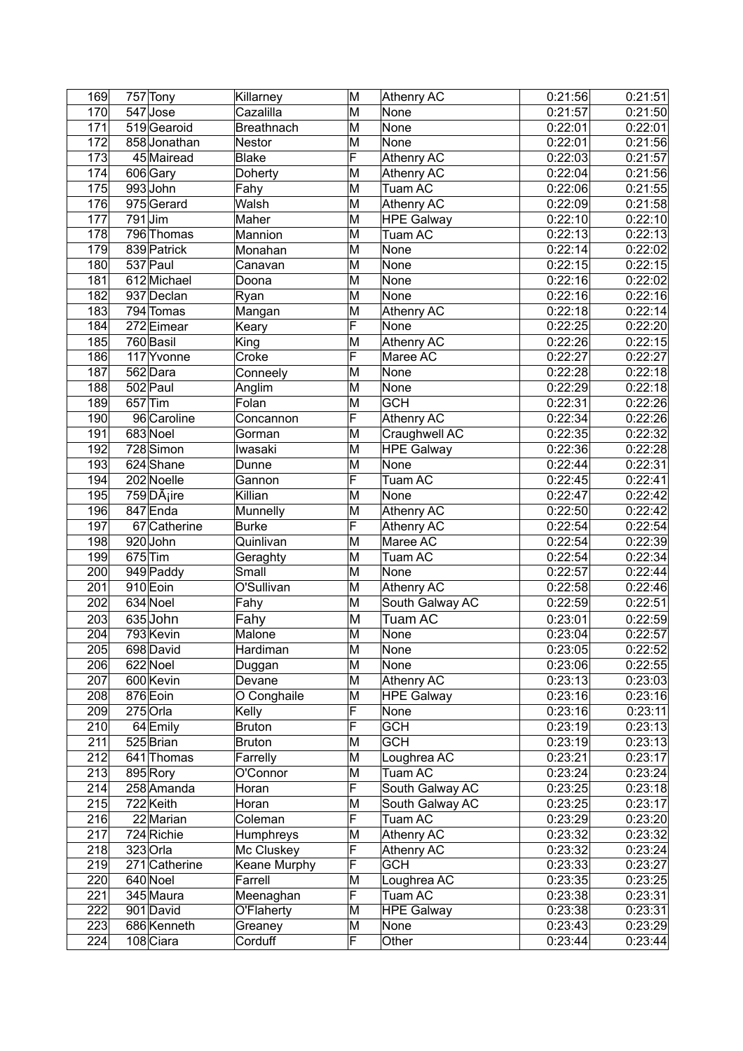| 169              |           | 757 Tony              | Killarney         | M                       | <b>Athenry AC</b> | 0:21:56 | 0:21:51 |
|------------------|-----------|-----------------------|-------------------|-------------------------|-------------------|---------|---------|
| 170              |           | 547 Jose              | Cazalilla         | M                       | None              | 0:21:57 | 0:21:50 |
| 171              |           | 519 Gearoid           | <b>Breathnach</b> | M                       | None              | 0:22:01 | 0:22:01 |
| 172              |           | 858 Jonathan          | Nestor            | $\overline{\mathsf{M}}$ | None              | 0:22:01 | 0:21:56 |
| 173              |           | 45 Mairead            | <b>Blake</b>      | F                       | <b>Athenry AC</b> | 0:22:03 | 0:21:57 |
| 174              |           | 606 Gary              | Doherty           | M                       | <b>Athenry AC</b> | 0:22:04 | 0:21:56 |
| 175              |           | 993John               | Fahy              | M                       | Tuam AC           | 0:22:06 | 0:21:55 |
| 176              |           | 975 Gerard            | Walsh             | M                       | <b>Athenry AC</b> | 0:22:09 | 0:21:58 |
| 177              | 791 Jim   |                       | Maher             | M                       | <b>HPE Galway</b> | 0:22:10 | 0:22:10 |
| 178              |           | 796 Thomas            | Mannion           | M                       | Tuam AC           | 0:22:13 | 0:22:13 |
| 179              |           | 839 Patrick           | Monahan           | M                       | None              | 0:22:14 | 0:22:02 |
| 180              |           | $\overline{537}$ Paul | Canavan           | M                       | None              | 0:22:15 | 0:22:15 |
| 181              |           | 612 Michael           | Doona             | M                       | None              | 0:22:16 | 0:22:02 |
| 182              |           | 937 Declan            | Ryan              | M                       | None              | 0:22:16 | 0:22:16 |
| 183              |           | 794 Tomas             | Mangan            | M                       | <b>Athenry AC</b> | 0:22:18 | 0:22:14 |
| 184              |           | 272 Eimear            | Keary             | $\overline{\mathsf{F}}$ | None              | 0:22:25 | 0:22:20 |
| 185              |           | 760 Basil             | King              | M                       | <b>Athenry AC</b> | 0:22:26 | 0:22:15 |
| 186              |           | 117 Yvonne            | Croke             | F                       | Maree AC          | 0:22:27 | 0:22:27 |
| 187              |           | 562 Dara              | Conneely          | M                       | None              | 0:22:28 | 0:22:18 |
| 188              |           | 502 Paul              | Anglim            | M                       | None              | 0:22:29 | 0:22:18 |
| 189              |           | 657 Tim               | Folan             | M                       | <b>GCH</b>        | 0:22:31 | 0:22:26 |
| 190              |           | 96 Caroline           | Concannon         | $\overline{\mathsf{F}}$ | <b>Athenry AC</b> | 0:22:34 | 0:22:26 |
| 191              |           | 683 Noel              | Gorman            | M                       | Craughwell AC     | 0:22:35 | 0:22:32 |
| 192              |           | 728 Simon             | lwasaki           | M                       | <b>HPE Galway</b> | 0:22:36 | 0:22:28 |
| 193              |           | 624 Shane             | Dunne             | M                       | None              | 0:22:44 | 0:22:31 |
| 194              |           | 202 Noelle            | Gannon            | F                       | Tuam AC           | 0:22:45 | 0:22:41 |
| 195              |           | 759 Dáire             | Killian           | M                       | None              | 0:22:47 | 0:22:42 |
| 196              |           | 847 Enda              | Munnelly          | M                       | <b>Athenry AC</b> | 0:22:50 | 0:22:42 |
| 197              |           | 67 Catherine          | <b>Burke</b>      | F                       | <b>Athenry AC</b> | 0:22:54 | 0:22:54 |
| 198              |           | 920John               | Quinlivan         | M                       | Maree AC          | 0:22:54 | 0:22:39 |
| 199              | $675$ Tim |                       | Geraghty          | M                       | Tuam AC           | 0:22:54 | 0:22:34 |
| 200              |           | 949 Paddy             | Small             | M                       | None              | 0:22:57 | 0:22:44 |
| 201              |           | 910 Eoin              | O'Sullivan        | M                       | Athenry AC        | 0:22:58 | 0:22:46 |
| 202              |           | 634 Noel              | Fahy              | M                       | South Galway AC   | 0:22:59 | 0:22:51 |
| 203              |           | 635 John              | Fahy              | M                       | Tuam AC           | 0:23:01 | 0:22:59 |
| $\overline{204}$ |           | 793 Kevin             | Malone            | M                       | None              | 0:23:04 | 0:22:57 |
| $\overline{205}$ |           | 698 David             | Hardiman          | $\overline{\mathsf{M}}$ | None              | 0:23:05 | 0:22:52 |
| 206              |           | 622 Noel              | Duggan            | M                       | None              | 0:23:06 | 0:22:55 |
| 207              |           | 600 Kevin             | Devane            | M                       | Athenry AC        | 0:23:13 | 0:23:03 |
| 208              |           | 876 Eoin              | O Conghaile       | M                       | <b>HPE Galway</b> | 0:23:16 | 0:23:16 |
| 209              |           | 275 Orla              | Kelly             | F                       | None              | 0:23:16 | 0:23:11 |
| 210              |           | 64 Emily              | <b>Bruton</b>     | F                       | <b>GCH</b>        | 0:23:19 | 0:23:13 |
| 211              |           | 525 Brian             | Bruton            | M                       | <b>GCH</b>        | 0:23:19 | 0:23:13 |
| 212              |           | 641 Thomas            | Farrelly          | M                       | Loughrea AC       | 0:23:21 | 0:23:17 |
| 213              |           | 895 Rory              | O'Connor          | M                       | Tuam AC           | 0:23:24 | 0:23:24 |
| 214              |           | 258 Amanda            | Horan             | $\overline{\mathsf{F}}$ | South Galway AC   | 0:23:25 | 0:23:18 |
| 215              |           | 722 Keith             | Horan             | M                       | South Galway AC   | 0:23:25 | 0:23:17 |
| 216              |           | 22 Marian             | Coleman           | F                       | Tuam AC           | 0:23:29 | 0:23:20 |
| 217              |           | 724 Richie            | Humphreys         | M                       | Athenry AC        | 0:23:32 | 0:23:32 |
| 218              |           | 323 Orla              | Mc Cluskey        | F                       | Athenry AC        | 0:23:32 | 0:23:24 |
| 219              |           | 271 Catherine         | Keane Murphy      | F                       | <b>GCH</b>        | 0:23:33 | 0:23:27 |
| 220              |           | 640 Noel              | Farrell           | M                       | Loughrea AC       | 0:23:35 | 0:23:25 |
| 221              |           | 345 Maura             | Meenaghan         | $\overline{\mathsf{F}}$ | Tuam AC           | 0:23:38 | 0:23:31 |
| 222              |           | 901 David             | O'Flaherty        | M                       | <b>HPE Galway</b> | 0:23:38 | 0:23:31 |
| 223              |           | 686 Kenneth           | Greaney           | M                       | None              | 0:23:43 | 0:23:29 |
| 224              |           | 108 Ciara             | Corduff           | $\overline{\mathsf{F}}$ | Other             | 0:23:44 | 0:23:44 |
|                  |           |                       |                   |                         |                   |         |         |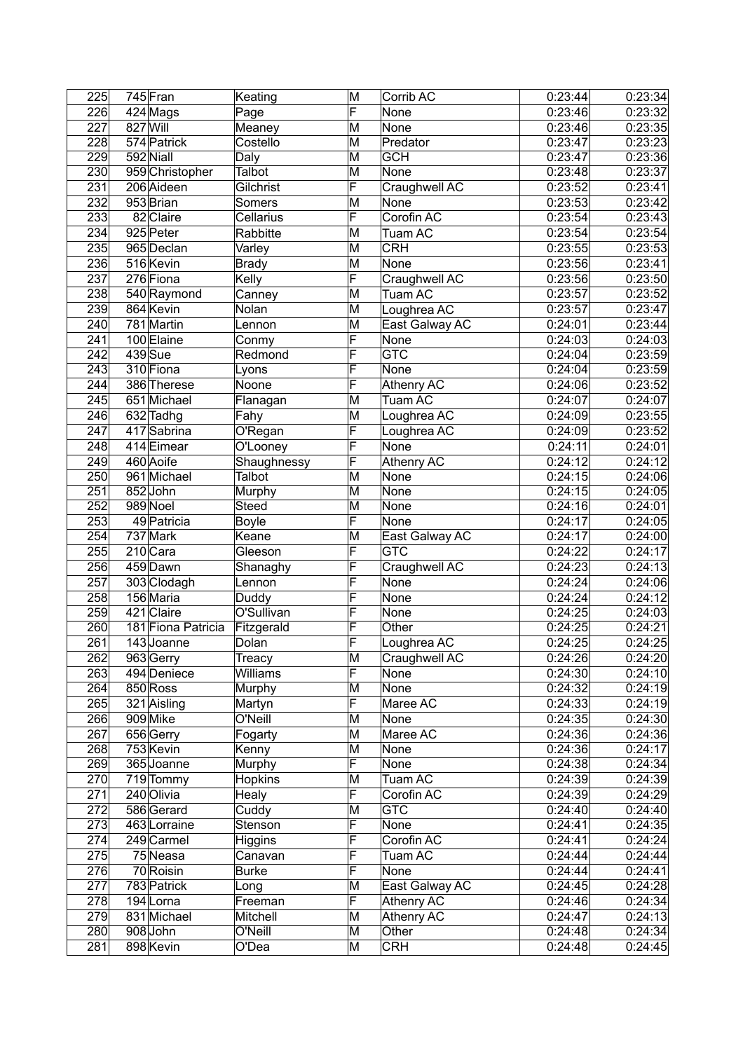| 225              |          | 745 Fran           | Keating       | M                       | Corrib AC         | 0:23:44 | 0:23:34 |
|------------------|----------|--------------------|---------------|-------------------------|-------------------|---------|---------|
| 226              |          | 424 Mags           | Page          | F                       | None              | 0:23:46 | 0:23:32 |
| 227              | 827 Will |                    | Meaney        | M                       | None              | 0:23:46 | 0:23:35 |
| $\overline{228}$ |          | 574 Patrick        | Costello      | M                       | Predator          | 0:23:47 | 0:23:23 |
| 229              |          | 592 Niall          | Daly          | M                       | <b>GCH</b>        | 0:23:47 | 0:23:36 |
| 230              |          | 959 Christopher    | <b>Talbot</b> | M                       | None              | 0:23:48 | 0:23:37 |
| 231              |          | 206 Aideen         | Gilchrist     | F                       | Craughwell AC     | 0:23:52 | 0:23:41 |
| 232              |          | 953 Brian          | Somers        | M                       | None              | 0:23:53 | 0:23:42 |
| 233              |          | 82 Claire          | Cellarius     | F                       | Corofin AC        | 0:23:54 | 0:23:43 |
| 234              |          | 925 Peter          | Rabbitte      | M                       | Tuam AC           | 0:23:54 | 0:23:54 |
| 235              |          | 965 Declan         | Varley        | M                       | <b>CRH</b>        | 0:23:55 | 0:23:53 |
| 236              |          | 516 Kevin          | <b>Brady</b>  | $\overline{\mathsf{M}}$ | None              | 0:23:56 | 0:23:41 |
| 237              |          | 276 Fiona          | Kelly         | $\overline{\mathsf{F}}$ | Craughwell AC     | 0:23:56 | 0:23:50 |
| 238              |          | 540 Raymond        | Canney        | M                       | Tuam AC           | 0:23:57 | 0:23:52 |
| 239              |          | 864 Kevin          | Nolan         | M                       | Loughrea AC       | 0:23:57 | 0:23:47 |
| 240              |          | 781 Martin         | Lennon        | M                       | East Galway AC    | 0:24:01 | 0:23:44 |
| 241              |          | 100 Elaine         | Conmy         | $\overline{\mathsf{F}}$ | None              | 0:24:03 | 0:24:03 |
| 242              |          | 439 Sue            | Redmond       | F                       | <b>GTC</b>        | 0:24:04 | 0:23:59 |
| $\overline{243}$ |          | 310 Fiona          | Lyons         | F                       | None              | 0:24:04 | 0:23:59 |
| 244              |          | 386 Therese        | Noone         | F                       | <b>Athenry AC</b> | 0:24:06 | 0:23:52 |
| 245              |          | 651 Michael        | Flanagan      | M                       | Tuam AC           | 0:24:07 | 0:24:07 |
| 246              |          | 632 Tadhg          | Fahy          | M                       | Loughrea AC       | 0:24:09 | 0:23:55 |
| 247              |          | 417 Sabrina        | O'Regan       | F                       | Loughrea AC       | 0:24:09 | 0:23:52 |
| 248              |          | 414 Eimear         | O'Looney      | F                       | None              | 0:24:11 | 0:24:01 |
| 249              |          | 460 Aoife          | Shaughnessy   | F                       | <b>Athenry AC</b> | 0:24:12 | 0:24:12 |
| 250              |          | 961 Michael        | Talbot        | M                       | None              | 0:24:15 | 0:24:06 |
| 251              |          | 852John            | Murphy        | M                       | None              | 0:24:15 | 0:24:05 |
| 252              |          | 989 Noel           | <b>Steed</b>  | M                       | None              | 0:24:16 | 0:24:01 |
| 253              |          | 49 Patricia        | <b>Boyle</b>  | F                       | None              | 0:24:17 | 0:24:05 |
| $\overline{254}$ |          | 737 Mark           | Keane         | M                       | East Galway AC    | 0:24:17 | 0:24:00 |
| 255              |          | 210 Cara           | Gleeson       | F                       | <b>GTC</b>        | 0:24:22 | 0:24:17 |
| 256              |          | 459 Dawn           | Shanaghy      | F                       | Craughwell AC     | 0:24:23 | 0:24:13 |
| 257              |          | 303 Clodagh        | Lennon        | F                       | None              | 0:24:24 | 0:24:06 |
| 258              |          | 156 Maria          | Duddy         | F                       | None              | 0:24:24 | 0:24:12 |
| 259              |          | 421 Claire         | O'Sullivan    | F                       | None              | 0:24:25 | 0:24:03 |
| 260              |          | 181 Fiona Patricia | Fitzgerald    | F                       | Other             | 0:24:25 | 0:24:21 |
| 261              |          | 143 Joanne         | Dolan         | F                       | Loughrea AC       | 0:24:25 | 0:24:25 |
| 262              |          | 963 Gerry          | Treacy        | M                       | Craughwell AC     | 0:24:26 | 0:24:20 |
| 263              |          | 494 Deniece        | Williams      | $\overline{\mathsf{F}}$ | None              | 0:24:30 | 0:24:10 |
| 264              |          | 850 Ross           | Murphy        | M                       | None              | 0:24:32 | 0:24:19 |
| 265              |          | 321 Aisling        | Martyn        | F                       | Maree AC          | 0:24:33 | 0:24:19 |
| 266              |          | 909 Mike           | O'Neill       | M                       | None              | 0:24:35 | 0:24:30 |
| 267              |          | 656 Gerry          | Fogarty       | M                       | Maree AC          | 0:24:36 | 0:24:36 |
| 268              |          | 753 Kevin          | Kenny         | M                       | None              | 0:24:36 | 0:24:17 |
| 269              |          | 365 Joanne         | Murphy        | F                       | None              | 0:24:38 | 0:24:34 |
| 270              |          | 719 Tommy          | Hopkins       | M                       | Tuam AC           | 0:24:39 | 0:24:39 |
| 271              |          | 240 Olivia         | Healy         | F                       | Corofin AC        | 0:24:39 | 0:24:29 |
| 272              |          | 586 Gerard         | Cuddy         | M                       | <b>GTC</b>        | 0:24:40 | 0:24:40 |
| 273              |          | 463 Lorraine       | Stenson       | F                       | None              | 0:24:41 | 0:24:35 |
| 274              |          | $249$ Carmel       | Higgins       | F                       | Corofin AC        | 0:24:41 | 0:24:24 |
| 275              |          | 75 Neasa           | Canavan       | F                       | Tuam AC           | 0:24:44 | 0:24:44 |
| 276              |          | 70 Roisin          | <b>Burke</b>  | F                       | None              | 0:24:44 | 0:24:41 |
| 277              |          | 783 Patrick        | Long          | M                       | East Galway AC    | 0:24:45 | 0:24:28 |
| 278              |          | 194 Lorna          | Freeman       | F                       | <b>Athenry AC</b> | 0:24:46 | 0:24:34 |
| 279              |          | 831 Michael        | Mitchell      | M                       | Athenry AC        | 0:24:47 | 0:24:13 |
| 280              |          | 908 John           | O'Neill       | M                       | Other             | 0:24:48 | 0:24:34 |
| 281              |          | 898 Kevin          | O'Dea         | M                       | <b>CRH</b>        | 0:24:48 | 0:24:45 |
|                  |          |                    |               |                         |                   |         |         |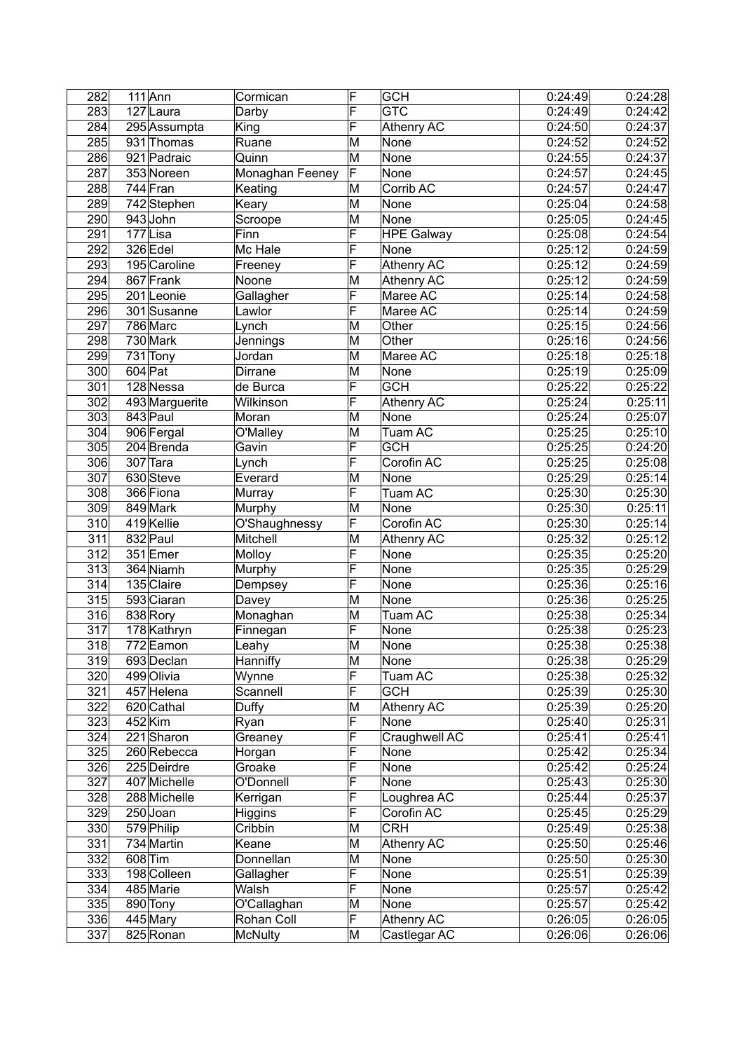| 282              | $111$ Ann      | Cormican        | F                       | <b>GCH</b>        | 0:24:49 | 0:24:28 |
|------------------|----------------|-----------------|-------------------------|-------------------|---------|---------|
| 283              | 127 Laura      | Darby           | F                       | <b>GTC</b>        | 0:24:49 | 0:24:42 |
| 284              | 295 Assumpta   | King            | F                       | <b>Athenry AC</b> | 0:24:50 | 0:24:37 |
| 285              | 931 Thomas     | Ruane           | M                       | None              | 0:24:52 | 0:24:52 |
| 286              | 921 Padraic    | Quinn           | M                       | None              | 0:24:55 | 0:24:37 |
| 287              | 353 Noreen     | Monaghan Feeney | F                       | None              | 0:24:57 | 0:24:45 |
| 288              | 744 Fran       | Keating         | M                       | Corrib AC         | 0:24:57 | 0:24:47 |
| 289              | 742 Stephen    | Keary           | M                       | None              | 0:25:04 | 0:24:58 |
| 290              | 943 John       | Scroope         | M                       | None              | 0:25:05 | 0:24:45 |
| 291              | 177Lisa        | Finn            | F                       | <b>HPE Galway</b> | 0:25:08 | 0:24:54 |
| 292              | 326 Edel       | Mc Hale         | F                       | None              | 0:25:12 | 0:24:59 |
| 293              | 195 Caroline   | Freeney         | F                       | Athenry AC        | 0:25:12 | 0:24:59 |
| 294              | 867 Frank      | Noone           | M                       | <b>Athenry AC</b> | 0:25:12 | 0:24:59 |
| 295              | $201$ Leonie   | Gallagher       | F                       | Maree AC          | 0:25:14 | 0:24:58 |
| 296              | 301 Susanne    | Lawlor          | F                       | Maree AC          | 0:25:14 | 0:24:59 |
| 297              | 786 Marc       | Lynch           | M                       | Other             | 0:25:15 | 0:24:56 |
| 298              | 730 Mark       | Jennings        | M                       | Other             | 0:25:16 | 0:24:56 |
| 299              | 731 Tony       | Jordan          | M                       | Maree AC          | 0:25:18 | 0:25:18 |
| 300              | 604 Pat        | Dirrane         | M                       | None              | 0:25:19 | 0:25:09 |
| 301              | 128 Nessa      | de Burca        | $\overline{\mathsf{F}}$ | <b>GCH</b>        | 0:25:22 | 0:25:22 |
| 302              | 493 Marguerite | Wilkinson       | F                       | <b>Athenry AC</b> | 0:25:24 | 0:25:11 |
| 303              | 843 Paul       | Moran           | M                       | None              | 0:25:24 | 0:25:07 |
| 304              | 906 Fergal     | O'Malley        | M                       | Tuam AC           | 0:25:25 | 0:25:10 |
| $\overline{305}$ | 204 Brenda     | Gavin           | F                       | <b>GCH</b>        | 0:25:25 | 0:24:20 |
| 306              | $307$ Tara     | Lynch           | F                       | Corofin AC        | 0:25:25 | 0:25:08 |
| $\overline{307}$ | 630 Steve      | Everard         | M                       | None              | 0:25:29 | 0:25:14 |
| 308              | 366 Fiona      | Murray          | $\overline{\mathsf{F}}$ | Tuam AC           | 0:25:30 | 0:25:30 |
| 309              | 849 Mark       | Murphy          | M                       | None              | 0:25:30 | 0:25:11 |
| 310              | 419 Kellie     | O'Shaughnessy   | F                       | Corofin AC        | 0:25:30 | 0:25:14 |
| $\overline{311}$ | 832 Paul       | Mitchell        | M                       | <b>Athenry AC</b> | 0:25:32 | 0:25:12 |
| $\overline{312}$ | 351 Emer       | Molloy          | F                       | None              | 0:25:35 | 0:25:20 |
| 313              | 364 Niamh      | Murphy          | F                       | None              | 0:25:35 | 0:25:29 |
| $\overline{314}$ | 135 Claire     | Dempsey         | F                       | None              | 0:25:36 | 0:25:16 |
| 315              | 593 Ciaran     | Davey           | M                       | None              | 0:25:36 | 0:25:25 |
| 316              | 838 Rory       |                 | M                       | Tuam AC           | 0:25:38 | 0:25:34 |
| 317              |                | Monaghan        | $\overline{\mathsf{F}}$ | None              | 0:25:38 |         |
| 318              | 178 Kathryn    | Finnegan        | M                       |                   |         | 0:25:23 |
|                  | 772 Eamon      | Leahy           |                         | None              | 0:25:38 | 0:25:38 |
| 319              | 693 Declan     | Hanniffy        | M                       | None              | 0:25:38 | 0:25:29 |
| 320              | 499 Olivia     | Wynne           | F                       | Tuam AC           | 0:25:38 | 0:25:32 |
| 321              | 457 Helena     | Scannell        | F                       | <b>GCH</b>        | 0:25:39 | 0:25:30 |
| 322              | 620 Cathal     | Duffy           | M                       | <b>Athenry AC</b> | 0:25:39 | 0:25:20 |
| 323              | 452 Kim        | Ryan            | F                       | None              | 0:25:40 | 0:25:31 |
| 324              | 221 Sharon     | Greaney         | F                       | Craughwell AC     | 0:25:41 | 0:25:41 |
| 325              | 260 Rebecca    | Horgan          | F                       | None              | 0:25:42 | 0:25:34 |
| 326              | 225 Deirdre    | Groake          | F                       | None              | 0:25:42 | 0:25:24 |
| 327              | 407 Michelle   | O'Donnell       | F                       | None              | 0:25:43 | 0:25:30 |
| 328              | 288 Michelle   | Kerrigan        | F<br>F                  | Loughrea AC       | 0:25:44 | 0:25:37 |
| 329              | 250 Joan       | Higgins         |                         | Corofin AC        | 0:25:45 | 0:25:29 |
| 330              | 579 Philip     | Cribbin         | M                       | <b>CRH</b>        | 0:25:49 | 0:25:38 |
| 331              | 734 Martin     | Keane           | M                       | <b>Athenry AC</b> | 0:25:50 | 0:25:46 |
| 332              | 608 Tim        | Donnellan       | M<br>F                  | None              | 0:25:50 | 0:25:30 |
| 333              | 198 Colleen    | Gallagher       | F                       | None              | 0:25:51 | 0:25:39 |
| 334<br>335       | 485 Marie      | Walsh           |                         | None              | 0:25:57 | 0:25:42 |
|                  | 890 Tony       | O'Callaghan     | M<br>F                  | None              | 0:25:57 | 0:25:42 |
| 336              | 445 Mary       | Rohan Coll      |                         | <b>Athenry AC</b> | 0:26:05 | 0:26:05 |
| 337              | 825 Ronan      | McNulty         | M                       | Castlegar AC      | 0:26:06 | 0:26:06 |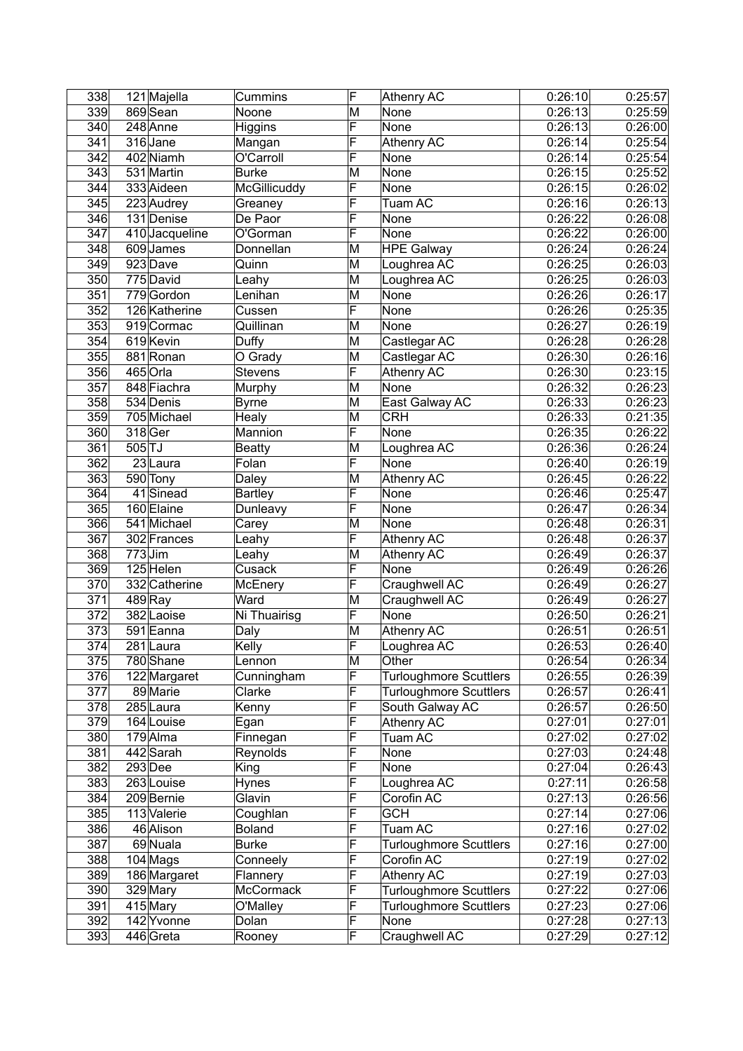| 338              |           | 121 Majella            | Cummins        | F                       | <b>Athenry AC</b>             | 0:26:10              | 0:25:57 |
|------------------|-----------|------------------------|----------------|-------------------------|-------------------------------|----------------------|---------|
| 339              |           | 869 Sean               | Noone          | M                       | None                          | 0:26:13              | 0:25:59 |
| 340              |           | 248 Anne               | Higgins        | F                       | None                          | 0:26:13              | 0:26:00 |
| 341              |           | 316 Jane               | Mangan         | F                       | <b>Athenry AC</b>             | 0:26:14              | 0:25:54 |
| 342              |           | 402 Niamh              | O'Carroll      | F                       | None                          | 0:26:14              | 0:25:54 |
| $\overline{343}$ |           | 531 Martin             | <b>Burke</b>   | M                       | None                          | 0:26:15              | 0:25:52 |
| 344              |           | 333 Aideen             | McGillicuddy   | $\overline{\sf F}$      | None                          | 0:26:15              | 0:26:02 |
| 345              |           | 223 Audrey             | Greaney        | F                       | Tuam AC                       | 0:26:16              | 0:26:13 |
| 346              |           | 131 Denise             | De Paor        | F                       | None                          | 0:26:22              | 0:26:08 |
| $\overline{347}$ |           | 410 Jacqueline         | O'Gorman       | F                       | None                          | 0:26:22              | 0:26:00 |
| 348              |           | 609 James              | Donnellan      | M                       | <b>HPE Galway</b>             | 0:26:24              | 0:26:24 |
| 349              |           | 923 Dave               | Quinn          | M                       | Loughrea AC                   | 0:26:25              | 0:26:03 |
| 350              |           | $\overline{775}$ David | Leahy          | M                       | Loughrea AC                   | 0:26:25              | 0:26:03 |
| 351              |           | 779 Gordon             | Lenihan        | M                       | None                          | $\overline{0.26:26}$ | 0:26:17 |
| 352              |           | 126 Katherine          | Cussen         | F                       | None                          | 0:26:26              | 0:25:35 |
| 353              |           | 919 Cormac             | Quillinan      | M                       | None                          | 0:26:27              | 0:26:19 |
| 354              |           | 619 Kevin              | Duffy          | M                       | Castlegar AC                  | 0:26:28              | 0:26:28 |
| 355              |           | 881 Ronan              | O Grady        | M                       | Castlegar AC                  | 0:26:30              | 0:26:16 |
| 356              |           | 465 Orla               | <b>Stevens</b> | F                       | <b>Athenry AC</b>             | 0:26:30              | 0:23:15 |
| 357              |           | 848 Fiachra            | Murphy         | M                       | None                          | 0:26:32              | 0:26:23 |
| 358              |           | 534 Denis              | <b>Byrne</b>   | M                       | East Galway AC                | 0:26:33              | 0:26:23 |
| 359              |           | 705 Michael            | <b>Healy</b>   | M                       | <b>CRH</b>                    | 0:26:33              | 0:21:35 |
| 360              |           | 318 Ger                | Mannion        | $\overline{\mathsf{F}}$ | None                          | 0:26:35              | 0:26:22 |
| 361              | $505$ TJ  |                        | <b>Beatty</b>  | M                       | Loughrea AC                   | 0:26:36              | 0:26:24 |
| 362              |           | $23$ Laura             | Folan          | F                       | None                          | 0:26:40              | 0:26:19 |
| 363              |           | 590 Tony               | Daley          | M                       | <b>Athenry AC</b>             | 0:26:45              | 0:26:22 |
| 364              |           | 41 Sinead              | <b>Bartley</b> | F                       | None                          | 0:26:46              | 0:25:47 |
| 365              |           | 160 Elaine             | Dunleavy       | F                       | None                          | 0:26:47              | 0:26:34 |
| 366              |           | 541 Michael            | Carey          | M                       | None                          | 0:26:48              | 0:26:31 |
| 367              |           | 302 Frances            | Leahy          | F                       | <b>Athenry AC</b>             | 0:26:48              | 0:26:37 |
| 368              | $773$ Jim |                        | Leahy          | M                       | <b>Athenry AC</b>             | 0:26:49              | 0:26:37 |
| 369              |           | 125 Helen              | Cusack         | F                       | None                          | 0:26:49              | 0:26:26 |
| 370              |           | 332 Catherine          | McEnery        | F                       | Craughwell AC                 | 0:26:49              | 0:26:27 |
| 371              |           | $489$ Ray              | Ward           | M                       | Craughwell AC                 | 0:26:49              | 0:26:27 |
| 372              |           | 382 Laoise             | Ni Thuairisg   | F                       | None                          | 0:26:50              | 0:26:21 |
| 373              |           | 591 Eanna              | Daly           | M                       | <b>Athenry AC</b>             | 0:26:51              | 0:26:51 |
| 374              |           | 281Laura               | Kelly          | $\overline{\mathsf{F}}$ | Loughrea AC                   | 0:26:53              | 0:26:40 |
| 375              |           | 780 Shane              | Lennon         | M                       | Other                         | 0:26:54              | 0:26:34 |
| 376              |           | 122 Margaret           | Cunningham     | F                       | <b>Turloughmore Scuttlers</b> | 0:26:55              | 0:26:39 |
| 377              |           | 89 Marie               | Clarke         | F                       | <b>Turloughmore Scuttlers</b> | 0:26:57              | 0:26:41 |
| 378              |           | $285$ Laura            | Kenny          | F                       | South Galway AC               | 0:26:57              | 0:26:50 |
| 379              |           | 164 Louise             | Egan           | F                       | Athenry AC                    | 0:27:01              | 0:27:01 |
| 380              |           | 179 Alma               | Finnegan       | F                       | Tuam AC                       | 0:27:02              | 0:27:02 |
| 381              |           | 442 Sarah              | Reynolds       | F                       | None                          | 0:27:03              | 0:24:48 |
| 382              |           | $293$ Dee              | King           | F                       | None                          | 0:27:04              | 0:26:43 |
| 383              |           | 263 Louise             | Hynes          | F                       | Loughrea AC                   | 0:27:11              | 0:26:58 |
| 384              |           | 209Bernie              | Glavin         | F                       | Corofin AC                    | 0:27:13              | 0:26:56 |
| 385              |           | 113 Valerie            | Coughlan       | F                       | <b>GCH</b>                    | 0:27:14              | 0:27:06 |
| 386              |           | 46 Alison              | <b>Boland</b>  | F                       | Tuam AC                       | 0:27:16              | 0:27:02 |
| 387              |           | 69 Nuala               | <b>Burke</b>   | F                       | <b>Turloughmore Scuttlers</b> | 0:27:16              | 0:27:00 |
| 388              |           | $104$ Mags             | Conneely       | F                       | Corofin AC                    | 0:27:19              | 0:27:02 |
| 389              |           | 186 Margaret           | Flannery       | F                       | <b>Athenry AC</b>             | 0:27:19              | 0:27:03 |
| 390              |           | 329 Mary               | McCormack      | F                       | <b>Turloughmore Scuttlers</b> | 0:27:22              | 0:27:06 |
| 391              |           | 415 Mary               | O'Malley       | F                       | <b>Turloughmore Scuttlers</b> | 0:27:23              | 0:27:06 |
| 392              |           | 142 Yvonne             | Dolan          | F                       | None                          | 0:27:28              | 0:27:13 |
| 393              |           | 446 Greta              | Rooney         | F                       | Craughwell AC                 | 0:27:29              | 0:27:12 |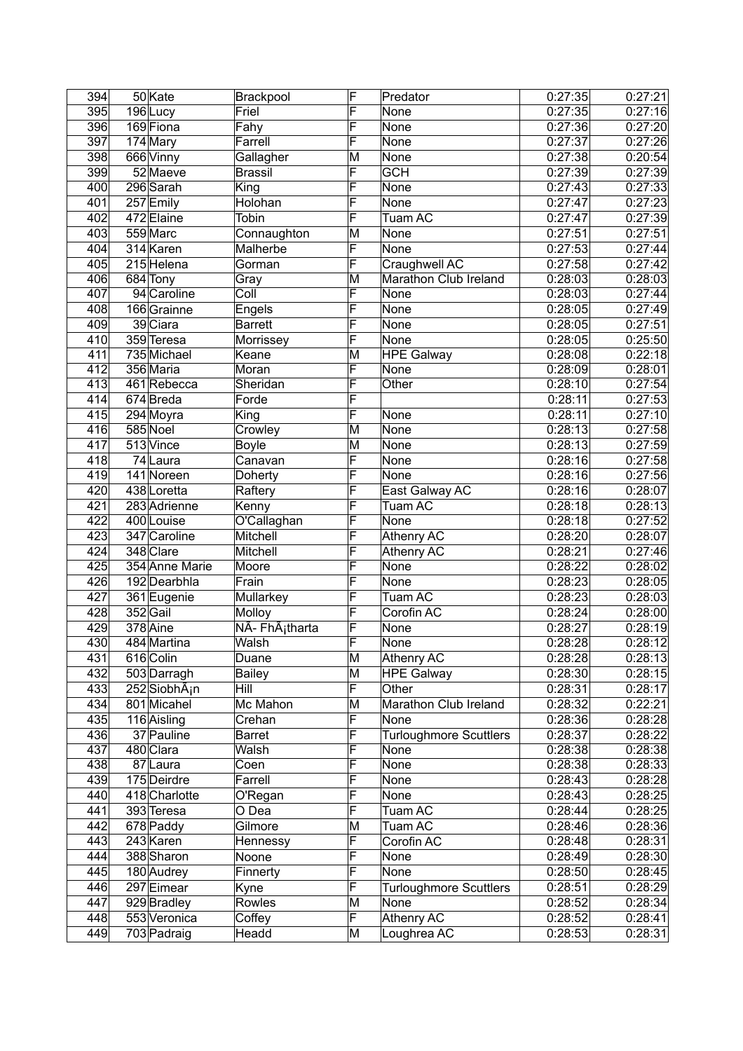| 394              | 50 Kate                   | Brackpool                   | F                       | Predator                      | 0:27:35 | 0:27:21 |
|------------------|---------------------------|-----------------------------|-------------------------|-------------------------------|---------|---------|
| 395              | 196Lucy                   | Friel                       | F                       | None                          | 0:27:35 | 0:27:16 |
| 396              | 169 Fiona                 | Fahy                        | F                       | None                          | 0:27:36 | 0:27:20 |
| 397              | 174 Mary                  | Farrell                     | F                       | None                          | 0:27:37 | 0:27:26 |
| 398              | 666 Vinny                 | Gallagher                   | M                       | None                          | 0:27:38 | 0:20:54 |
| 399              | 52 Maeve                  | <b>Brassil</b>              | F                       | <b>GCH</b>                    | 0:27:39 | 0:27:39 |
| 400              | 296 Sarah                 | King                        | F                       | None                          | 0:27:43 | 0:27:33 |
| 401              | 257 Emily                 | Holohan                     | F                       | None                          | 0:27:47 | 0:27:23 |
| 402              | 472 Elaine                | Tobin                       | F                       | Tuam AC                       | 0:27:47 | 0:27:39 |
| 403              | 559 Marc                  | Connaughton                 | M                       | None                          | 0:27:51 | 0:27:51 |
| 404              | 314 Karen                 | Malherbe                    | F                       | None                          | 0:27:53 | 0:27:44 |
| 405              | 215 Helena                | Gorman                      | F                       | Craughwell AC                 | 0:27:58 | 0:27:42 |
| 406              | 684 Tony                  | Gray                        | M                       | Marathon Club Ireland         | 0:28:03 | 0:28:03 |
| 407              | 94 Caroline               | Coll                        | F                       | None                          | 0:28:03 | 0:27:44 |
| 408              |                           |                             | F                       | None                          |         |         |
|                  | 166 Grainne               | Engels                      | F                       |                               | 0:28:05 | 0:27:49 |
| 409              | 39 Ciara                  | <b>Barrett</b>              | F                       | None                          | 0:28:05 | 0:27:51 |
| 410              | 359 Teresa                | Morrissey                   |                         | None                          | 0:28:05 | 0:25:50 |
| 411              | 735 Michael               | Keane                       | M                       | <b>HPE Galway</b>             | 0:28:08 | 0:22:18 |
| 412              | 356 Maria                 | Moran                       | F                       | None                          | 0:28:09 | 0:28:01 |
| 413              | 461 Rebecca               | Sheridan                    | F                       | Other                         | 0:28:10 | 0:27:54 |
| 414              | 674Breda                  | Forde                       | F                       |                               | 0:28:11 | 0:27:53 |
| 415              | 294 Moyra                 | King                        | F                       | None                          | 0:28:11 | 0:27:10 |
| 416              | 585 Noel                  | Crowley                     | M                       | None                          | 0:28:13 | 0:27:58 |
| $\overline{417}$ | 513 Vince                 | <b>Boyle</b>                | M                       | None                          | 0:28:13 | 0:27:59 |
| 418              | 74 Laura                  | Canavan                     | F                       | None                          | 0:28:16 | 0:27:58 |
| 419              | $141$ Noreen              | Doherty                     | F                       | None                          | 0:28:16 | 0:27:56 |
| 420              | 438 Loretta               | Raftery                     | F                       | East Galway AC                | 0:28:16 | 0:28:07 |
| 421              | 283 Adrienne              | Kenny                       | F                       | Tuam AC                       | 0:28:18 | 0:28:13 |
| $\overline{422}$ | 400 Louise                | O'Callaghan                 | F                       | None                          | 0:28:18 | 0:27:52 |
| 423              | 347 Caroline              | Mitchell                    | F                       | <b>Athenry AC</b>             | 0:28:20 | 0:28:07 |
| 424              | 348 Clare                 | Mitchell                    | F                       | <b>Athenry AC</b>             | 0:28:21 | 0:27:46 |
| 425              | 354 Anne Marie            | Moore                       | F                       | None                          | 0:28:22 | 0:28:02 |
| 426              | 192 Dearbhla              | Frain                       | F                       | None                          | 0:28:23 | 0:28:05 |
| 427              | 361 Eugenie               | Mullarkey                   | F                       | Tuam AC                       | 0:28:23 | 0:28:03 |
| 428              | 352 Gail                  | Molloy                      | F                       | Corofin AC                    | 0:28:24 | 0:28:00 |
| 429              | 378 Aine                  | NÃ- FhÃ <sub>i</sub> tharta | F                       | None                          | 0:28:27 | 0:28:19 |
| 430              | 484 Martina               | Walsh                       | F                       | None                          | 0:28:28 | 0:28:12 |
| 431              | 616 Colin                 | Duane                       | M                       | Athenry AC                    | 0:28:28 | 0:28:13 |
| 432              | 503 Darragh               | <b>Bailey</b>               | M                       | <b>HPE Galway</b>             | 0:28:30 | 0:28:15 |
| 433              | 252 SiobhA <sub>i</sub> n | <b>Hill</b>                 | $\overline{\mathsf{F}}$ | Other                         | 0:28:31 | 0:28:17 |
| 434              | 801 Micahel               | Mc Mahon                    | M                       | Marathon Club Ireland         | 0:28:32 | 0:22:21 |
| 435              | 116 Aisling               | Crehan                      | F                       | None                          | 0:28:36 | 0:28:28 |
| 436              | 37 Pauline                | <b>Barret</b>               | F                       | <b>Turloughmore Scuttlers</b> | 0:28:37 | 0:28:22 |
| 437              | 480 Clara                 | Walsh                       | F                       | None                          | 0:28:38 | 0:28:38 |
| 438              | 87 Laura                  | Coen                        | F                       | None                          | 0:28:38 | 0:28:33 |
| 439              | 175 Deirdre               | Farrell                     | F                       |                               |         |         |
|                  |                           |                             | F                       | None                          | 0:28:43 | 0:28:28 |
| 440              | 418 Charlotte             | O'Regan                     |                         | None                          | 0:28:43 | 0:28:25 |
| 441              | 393 Teresa                | O Dea                       | F                       | Tuam AC                       | 0:28:44 | 0:28:25 |
| 442              | 678 Paddy                 | Gilmore                     | M                       | Tuam AC                       | 0:28:46 | 0:28:36 |
| 443              | $\overline{24}3$ Karen    | Hennessy                    | F                       | Corofin AC                    | 0:28:48 | 0:28:31 |
| 444              | 388 Sharon                | Noone                       | F                       | None                          | 0:28:49 | 0:28:30 |
| 445              | 180 Audrey                | Finnerty                    | F                       | None                          | 0:28:50 | 0:28:45 |
| 446              | 297 Eimear                | Kyne                        | F                       | <b>Turloughmore Scuttlers</b> | 0:28:51 | 0:28:29 |
| 447              | 929 Bradley               | Rowles                      | M                       | None                          | 0:28:52 | 0:28:34 |
| 448              | 553 Veronica              | Coffey                      | F                       | Athenry AC                    | 0:28:52 | 0:28:41 |
| 449              | 703 Padraig               | Headd                       | M                       | Loughrea AC                   | 0:28:53 | 0:28:31 |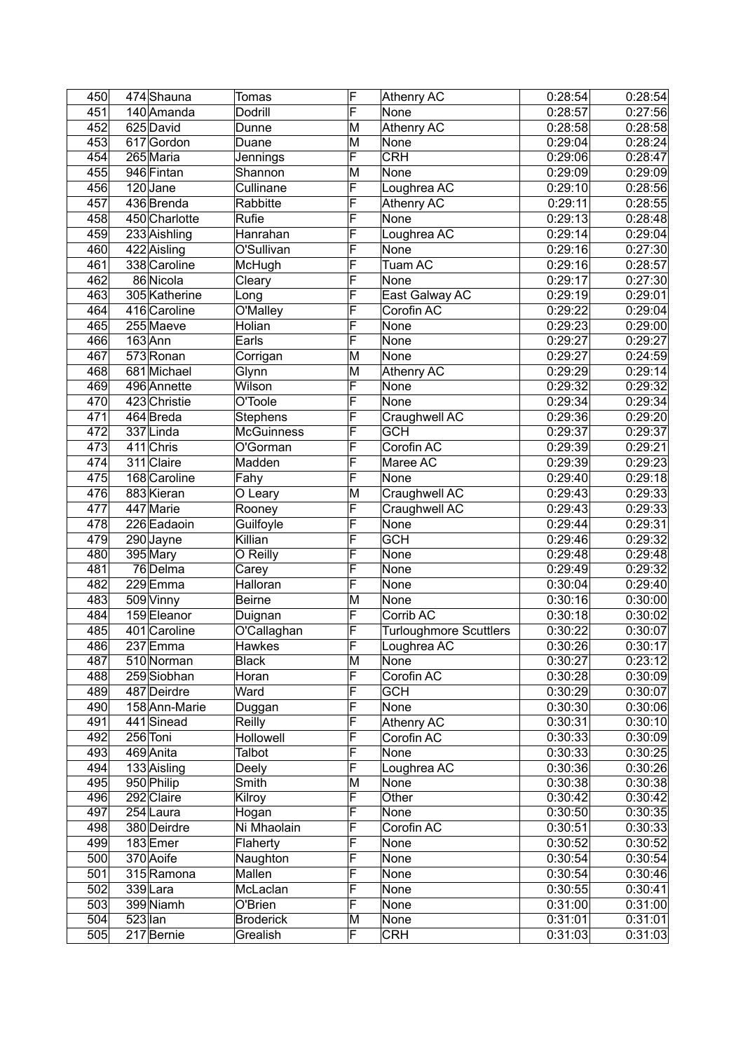| 450 |           | 474 Shauna    | Tomas             | F                       | Athenry AC                    | 0:28:54 | 0:28:54 |
|-----|-----------|---------------|-------------------|-------------------------|-------------------------------|---------|---------|
| 451 |           | 140 Amanda    | Dodrill           | F                       | None                          | 0:28:57 | 0:27:56 |
| 452 |           | 625 David     | Dunne             | M                       | <b>Athenry AC</b>             | 0:28:58 | 0:28:58 |
| 453 |           | 617 Gordon    | Duane             | M                       | None                          | 0:29:04 | 0:28:24 |
| 454 |           | $265$ Maria   | Jennings          | F                       | CRH                           | 0:29:06 | 0:28:47 |
| 455 |           | 946 Fintan    | Shannon           | M                       | None                          | 0:29:09 | 0:29:09 |
| 456 |           | 120 Jane      | Cullinane         | $\overline{\sf F}$      | Loughrea AC                   | 0:29:10 | 0:28:56 |
| 457 |           | 436 Brenda    | Rabbitte          | F                       | <b>Athenry AC</b>             | 0:29:11 | 0:28:55 |
| 458 |           | 450 Charlotte | Rufie             | F                       | None                          | 0:29:13 | 0:28:48 |
| 459 |           | 233 Aishling  | Hanrahan          | F                       | Loughrea AC                   | 0:29:14 | 0:29:04 |
| 460 |           | 422 Aisling   | O'Sullivan        | F                       | None                          | 0:29:16 | 0:27:30 |
| 461 |           | 338 Caroline  | McHugh            | F                       | Tuam AC                       | 0:29:16 | 0:28:57 |
| 462 |           | 86 Nicola     | Cleary            | F                       | None                          | 0:29:17 | 0:27:30 |
| 463 |           | 305 Katherine | Long              | F                       | East Galway AC                | 0:29:19 | 0:29:01 |
| 464 |           | 416 Caroline  | O'Malley          | F                       | Corofin AC                    | 0:29:22 | 0:29:04 |
| 465 |           | 255 Maeve     | Holian            | F                       | None                          | 0:29:23 | 0:29:00 |
| 466 |           | $163$ Ann     | Earls             | F                       | None                          | 0:29:27 | 0:29:27 |
| 467 |           | 573 Ronan     | Corrigan          | M                       | None                          | 0:29:27 | 0:24:59 |
| 468 |           | 681 Michael   | Glynn             | M                       | <b>Athenry AC</b>             | 0:29:29 | 0:29:14 |
| 469 |           | 496 Annette   | Wilson            | F                       | None                          | 0:29:32 | 0:29:32 |
|     |           |               | O'Toole           | F                       |                               |         |         |
| 470 |           | 423 Christie  |                   | F                       | None                          | 0:29:34 | 0:29:34 |
| 471 |           | 464 Breda     | <b>Stephens</b>   | $\overline{\mathsf{F}}$ | Craughwell AC                 | 0:29:36 | 0:29:20 |
| 472 |           | 337 Linda     | <b>McGuinness</b> |                         | <b>GCH</b>                    | 0:29:37 | 0:29:37 |
| 473 |           | 411 Chris     | O'Gorman          | F                       | Corofin AC                    | 0:29:39 | 0:29:21 |
| 474 |           | 311 Claire    | Madden            | F                       | Maree AC                      | 0:29:39 | 0:29:23 |
| 475 |           | 168 Caroline  | Fahy              | F                       | None                          | 0:29:40 | 0:29:18 |
| 476 |           | 883 Kieran    | O Leary           | M                       | Craughwell AC                 | 0:29:43 | 0:29:33 |
| 477 |           | 447 Marie     | Rooney            | F                       | Craughwell AC                 | 0:29:43 | 0:29:33 |
| 478 |           | 226 Eadaoin   | Guilfoyle         | F                       | None                          | 0:29:44 | 0:29:31 |
| 479 |           | 290 Jayne     | Killian           | F                       | <b>GCH</b>                    | 0:29:46 | 0:29:32 |
| 480 |           | 395 Mary      | O Reilly          | F                       | None                          | 0:29:48 | 0:29:48 |
| 481 |           | 76 Delma      | Carey             | F                       | None                          | 0:29:49 | 0:29:32 |
| 482 |           | 229Emma       | Halloran          | F                       | None                          | 0:30:04 | 0:29:40 |
| 483 |           | 509 Vinny     | <b>Beirne</b>     | M                       | None                          | 0:30:16 | 0:30:00 |
| 484 |           | 159 Eleanor   | Duignan           | F                       | Corrib AC                     | 0:30:18 | 0:30:02 |
| 485 |           | 401 Caroline  | O'Callaghan       | F                       | <b>Turloughmore Scuttlers</b> | 0:30:22 | 0:30:07 |
| 486 |           | 237 Emma      | <b>Hawkes</b>     | F                       | Loughrea AC                   | 0:30:26 | 0:30:17 |
| 487 |           | 510 Norman    | <b>Black</b>      | M                       | None                          | 0:30:27 | 0:23:12 |
| 488 |           | 259 Siobhan   | Horan             | F                       | Corofin AC                    | 0:30:28 | 0:30:09 |
| 489 |           | 487 Deirdre   | Ward              | F                       | <b>GCH</b>                    | 0:30:29 | 0:30:07 |
| 490 |           | 158 Ann-Marie | Duggan            | F                       | None                          | 0:30:30 | 0:30:06 |
| 491 |           | 441 Sinead    | Reilly            | F                       | Athenry AC                    | 0:30:31 | 0:30:10 |
| 492 |           | 256 Toni      | Hollowell         | F                       | Corofin AC                    | 0:30:33 | 0:30:09 |
| 493 |           | 469 Anita     | Talbot            | F                       | None                          | 0:30:33 | 0:30:25 |
| 494 |           | 133 Aisling   | Deely             | F                       | Loughrea AC                   | 0:30:36 | 0:30:26 |
| 495 |           | 950 Philip    | Smith             | M                       | None                          | 0:30:38 | 0:30:38 |
| 496 |           | 292 Claire    | Kilroy            | F                       | Other                         | 0:30:42 | 0:30:42 |
| 497 |           | 254 Laura     | Hogan             | F                       | None                          | 0:30:50 | 0:30:35 |
| 498 |           | 380 Deirdre   | Ni Mhaolain       | F                       | Corofin AC                    | 0:30:51 | 0:30:33 |
| 499 |           | 183Emer       | Flaherty          | F                       | None                          | 0:30:52 | 0:30:52 |
| 500 |           | 370 Aoife     | Naughton          | F                       | None                          | 0:30:54 | 0:30:54 |
| 501 |           | 315 Ramona    | Mallen            | F                       | None                          | 0:30:54 | 0:30:46 |
| 502 |           | 339Lara       | McLaclan          | F                       | None                          | 0:30:55 | 0:30:41 |
| 503 |           | 399 Niamh     | O'Brien           | F                       | None                          | 0:31:00 | 0:31:00 |
| 504 | $523$ lan |               | <b>Broderick</b>  | M                       | None                          | 0:31:01 | 0:31:01 |
| 505 |           | 217 Bernie    | Grealish          | F                       | <b>CRH</b>                    | 0:31:03 | 0:31:03 |
|     |           |               |                   |                         |                               |         |         |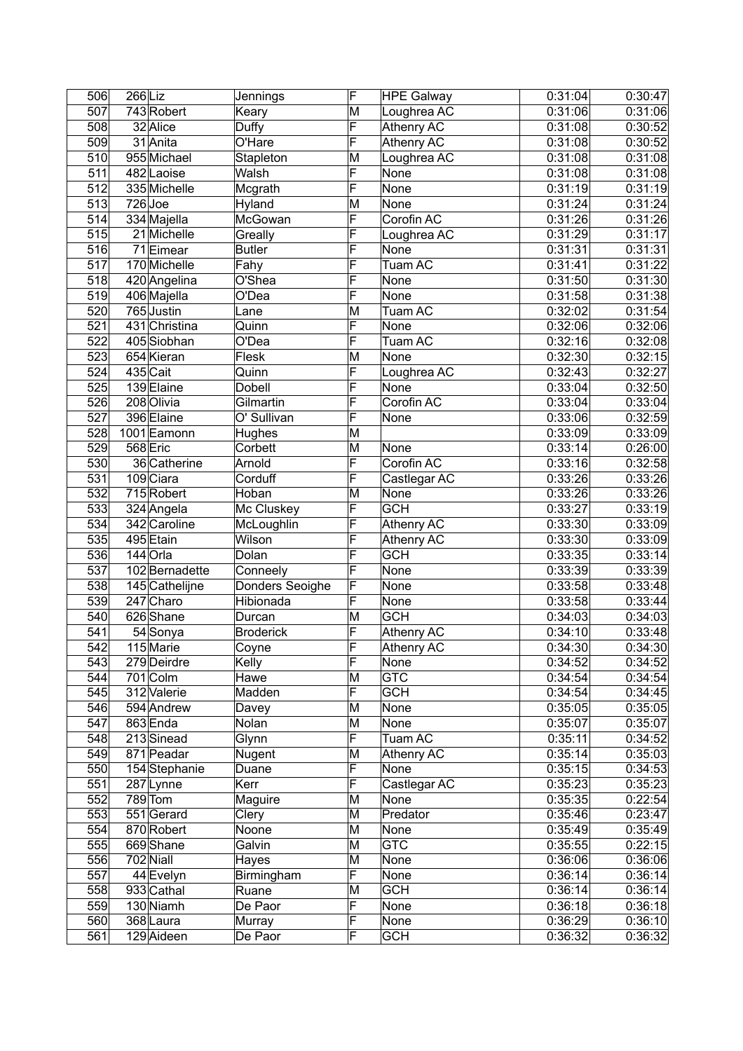| 506              | 266 Liz |                | Jennings             | F                       | <b>HPE Galway</b>               | 0:31:04            | 0:30:47            |
|------------------|---------|----------------|----------------------|-------------------------|---------------------------------|--------------------|--------------------|
| 507              |         | 743 Robert     | Keary                | M                       | Loughrea AC                     | 0:31:06            | 0:31:06            |
| 508              |         | 32 Alice       | Duffy                | F                       | Athenry AC                      | 0:31:08            | 0:30:52            |
| 509              |         | 31 Anita       | O'Hare               | F                       | <b>Athenry AC</b>               | 0:31:08            | 0:30:52            |
| 510              |         | 955 Michael    | Stapleton            | M                       | Loughrea AC                     | 0:31:08            | 0:31:08            |
| 511              |         | 482 Laoise     | Walsh                | F                       | None                            | 0:31:08            | 0:31:08            |
| 512              |         | 335 Michelle   | Mcgrath              | F                       | None                            | 0:31:19            | 0:31:19            |
| 513              |         | $726$ Joe      | Hyland               | M                       | None                            | 0:31:24            | 0:31:24            |
| 514              |         | 334 Majella    | McGowan              | F                       | Corofin AC                      | 0:31:26            | 0:31:26            |
| 515              |         | 21 Michelle    | Greally              | F                       | Loughrea AC                     | 0:31:29            | 0:31:17            |
| 516              |         | 71 Eimear      | <b>Butler</b>        | F                       | None                            | 0:31:31            | 0:31:31            |
| 517              |         | 170 Michelle   | Fahy                 | F                       | Tuam AC                         | 0:31:41            | 0:31:22            |
| $\overline{518}$ |         | 420 Angelina   | O'Shea               | F                       | None                            | 0:31:50            | 0:31:30            |
| 519              |         | 406 Majella    | O'Dea                | F                       | None                            | 0:31:58            | 0:31:38            |
| 520              |         | $765$ Justin   | Lane                 | M                       | Tuam AC                         | 0:32:02            | 0:31:54            |
| 521              |         | 431 Christina  | Quinn                | $\overline{\mathsf{F}}$ | None                            | 0:32:06            | 0:32:06            |
| 522              |         | 405 Siobhan    | O'Dea                | F                       | Tuam AC                         | 0:32:16            | 0:32:08            |
| 523              |         | 654 Kieran     | Flesk                | M                       | None                            | 0:32:30            | 0:32:15            |
| 524              |         | 435 Cait       | Quinn                | F                       | Loughrea AC                     | 0:32:43            | 0:32:27            |
| 525              |         | 139 Elaine     | Dobell               | F                       | None                            | 0:33:04            | 0:32:50            |
| 526              |         | 208 Olivia     | Gilmartin            | F                       | Corofin AC                      | 0:33:04            | 0:33:04            |
| 527              |         | 396 Elaine     | O' Sullivan          | F                       | None                            | 0:33:06            | 0:32:59            |
| 528              |         | 1001 Eamonn    | Hughes               | M                       |                                 | 0:33:09            | 0:33:09            |
| 529              |         | 568 Eric       | Corbett              | M                       | None                            | 0:33:14            | 0:26:00            |
| 530              |         | 36 Catherine   | Arnold               | F                       | Corofin AC                      | 0:33:16            | 0:32:58            |
| 531              |         | 109 Ciara      | Corduff              | F                       | Castlegar AC                    | 0:33:26            | 0:33:26            |
| 532              |         | 715 Robert     | Hoban                | M                       | None                            | 0:33:26            | 0:33:26            |
| 533              |         | 324 Angela     | Mc Cluskey           | F                       | <b>GCH</b>                      | 0:33:27            | 0:33:19            |
| 534              |         | 342 Caroline   |                      | F                       |                                 |                    |                    |
| 535              |         | 495 Etain      | McLoughlin<br>Wilson | F                       | Athenry AC                      | 0:33:30<br>0:33:30 | 0:33:09<br>0:33:09 |
|                  |         | 144 Orla       |                      | F                       | <b>Athenry AC</b><br><b>GCH</b> |                    |                    |
| 536<br>537       |         |                | Dolan                | F                       |                                 | 0:33:35            | 0:33:14            |
| 538              |         | 102 Bernadette | Conneely             | F                       | None                            | 0:33:39            | 0:33:39            |
|                  |         | 145 Cathelijne | Donders Seoighe      |                         | None                            | 0:33:58            | 0:33:48            |
| 539              |         | 247 Charo      | Hibionada            | F                       | None                            | 0:33:58            | 0:33:44            |
| 540              |         | 626 Shane      | Durcan               | M                       | <b>GCH</b>                      | 0:34:03            | 0:34:03            |
| 541              |         | 54 Sonya       | <b>Broderick</b>     | F                       | <b>Athenry AC</b>               | 0:34:10            | 0:33:48            |
| 542              |         | 115 Marie      | Coyne                | F                       | Athenry AC                      | 0:34:30            | 0:34:30            |
| 543              |         | 279 Deirdre    | Kelly                | F                       | None                            | 0:34:52            | 0:34:52            |
| 544              |         | 701 Colm       | <b>Hawe</b>          | M                       | <b>GTC</b>                      | 0:34:54            | 0:34:54            |
| 545              |         | 312 Valerie    | Madden               | F                       | <b>GCH</b>                      | 0:34:54            | 0:34:45            |
| 546              |         | 594 Andrew     | Davey                | M                       | None                            | 0:35:05            | 0:35:05            |
| 547              |         | 863 Enda       | Nolan                | M                       | None                            | 0:35:07            | 0:35:07            |
| 548              |         | 213 Sinead     | Glynn                | F                       | Tuam AC                         | 0:35:11            | 0:34:52            |
| 549              |         | 871 Peadar     | Nugent               | M                       | <b>Athenry AC</b>               | 0:35:14            | 0:35:03            |
| 550              |         | 154 Stephanie  | Duane                | F                       | None                            | 0:35:15            | 0:34:53            |
| 551              |         | 287 Lynne      | Kerr                 | $\overline{\mathsf{F}}$ | Castlegar AC                    | 0:35:23            | 0:35:23            |
| 552              |         | 789 Tom        | Maguire              | M                       | None                            | 0:35:35            | 0:22:54            |
| 553              |         | 551 Gerard     | Clery                | M                       | Predator                        | 0:35:46            | 0:23:47            |
| 554              |         | 870 Robert     | Noone                | M                       | None                            | 0:35:49            | 0:35:49            |
| 555              |         | 669Shane       | Galvin               | M                       | <b>GTC</b>                      | 0:35:55            | 0:22:15            |
| 556              |         | 702 Niall      | Hayes                | M                       | None                            | 0:36:06            | 0:36:06            |
| 557              |         | 44 Evelyn      | Birmingham           | F                       | None                            | 0:36:14            | 0:36:14            |
| 558              |         | 933 Cathal     | Ruane                | M                       | <b>GCH</b>                      | 0:36:14            | 0:36:14            |
| 559              |         | 130 Niamh      | De Paor              | F                       | None                            | 0:36:18            | 0:36:18            |
| 560              |         | 368 Laura      | Murray               | F                       | None                            | 0:36:29            | 0:36:10            |
| 561              |         | 129 Aideen     | De Paor              | F                       | <b>GCH</b>                      | 0:36:32            | 0:36:32            |